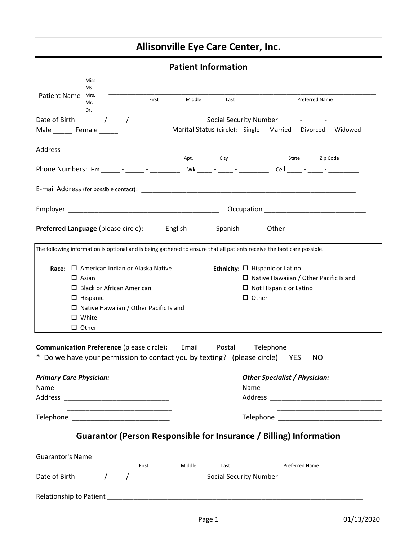# Allisonville Eye Care Center, Inc.

|                                                                                                                                                                                                                                                                                                                                      | <b>Patient Information</b> |              |                                                                                                                       |
|--------------------------------------------------------------------------------------------------------------------------------------------------------------------------------------------------------------------------------------------------------------------------------------------------------------------------------------|----------------------------|--------------|-----------------------------------------------------------------------------------------------------------------------|
| Miss<br>Ms.                                                                                                                                                                                                                                                                                                                          |                            |              |                                                                                                                       |
| <b>Patient Name</b><br>Mrs.<br>First<br>Mr.<br>Dr.                                                                                                                                                                                                                                                                                   | Middle                     | Last         | <b>Preferred Name</b>                                                                                                 |
| Date of Birth<br>$\frac{1}{2}$ $\frac{1}{2}$ $\frac{1}{2}$ $\frac{1}{2}$ $\frac{1}{2}$ $\frac{1}{2}$ $\frac{1}{2}$ $\frac{1}{2}$ $\frac{1}{2}$ $\frac{1}{2}$ $\frac{1}{2}$ $\frac{1}{2}$ $\frac{1}{2}$ $\frac{1}{2}$ $\frac{1}{2}$ $\frac{1}{2}$ $\frac{1}{2}$ $\frac{1}{2}$ $\frac{1}{2}$ $\frac{1}{2}$ $\frac{1}{2}$ $\frac{1}{2}$ |                            |              |                                                                                                                       |
| Male _________ Female _______                                                                                                                                                                                                                                                                                                        |                            |              | Marital Status (circle): Single Married Divorced Widowed                                                              |
|                                                                                                                                                                                                                                                                                                                                      |                            |              |                                                                                                                       |
|                                                                                                                                                                                                                                                                                                                                      | Apt.                       | City         | State<br>Zip Code                                                                                                     |
|                                                                                                                                                                                                                                                                                                                                      |                            |              |                                                                                                                       |
|                                                                                                                                                                                                                                                                                                                                      |                            |              |                                                                                                                       |
|                                                                                                                                                                                                                                                                                                                                      |                            |              |                                                                                                                       |
|                                                                                                                                                                                                                                                                                                                                      |                            |              | Occupation Designation                                                                                                |
| Preferred Language (please circle):                                                                                                                                                                                                                                                                                                  | English                    | Spanish      | Other                                                                                                                 |
| The following information is optional and is being gathered to ensure that all patients receive the best care possible.                                                                                                                                                                                                              |                            |              |                                                                                                                       |
|                                                                                                                                                                                                                                                                                                                                      |                            |              |                                                                                                                       |
| Race: $\square$ American Indian or Alaska Native                                                                                                                                                                                                                                                                                     |                            |              | Ethnicity: $\Box$ Hispanic or Latino                                                                                  |
| $\Box$ Asian                                                                                                                                                                                                                                                                                                                         |                            |              | $\Box$ Native Hawaiian / Other Pacific Island                                                                         |
| $\Box$ Black or African American                                                                                                                                                                                                                                                                                                     |                            |              | $\Box$ Not Hispanic or Latino                                                                                         |
| $\Box$ Hispanic                                                                                                                                                                                                                                                                                                                      |                            | $\Box$ Other |                                                                                                                       |
| $\Box$ Native Hawaiian / Other Pacific Island                                                                                                                                                                                                                                                                                        |                            |              |                                                                                                                       |
| $\Box$ White                                                                                                                                                                                                                                                                                                                         |                            |              |                                                                                                                       |
| $\Box$ Other                                                                                                                                                                                                                                                                                                                         |                            |              |                                                                                                                       |
|                                                                                                                                                                                                                                                                                                                                      |                            |              |                                                                                                                       |
| <b>Communication Preference (please circle): Email Postal</b>                                                                                                                                                                                                                                                                        |                            |              | Telephone                                                                                                             |
| * Do we have your permission to contact you by texting? (please circle) YES                                                                                                                                                                                                                                                          |                            |              | NO.                                                                                                                   |
| <b>Primary Care Physician:</b>                                                                                                                                                                                                                                                                                                       |                            |              | <b>Other Specialist / Physician:</b>                                                                                  |
|                                                                                                                                                                                                                                                                                                                                      |                            |              |                                                                                                                       |
|                                                                                                                                                                                                                                                                                                                                      |                            |              |                                                                                                                       |
|                                                                                                                                                                                                                                                                                                                                      |                            |              | <u> 1989 - Johann John Stone, markin amerikan bahasa dan berasal dan berasal dalam bahasa dalam bahasa dalam baha</u> |
|                                                                                                                                                                                                                                                                                                                                      |                            |              |                                                                                                                       |
| Guarantor (Person Responsible for Insurance / Billing) Information                                                                                                                                                                                                                                                                   |                            |              |                                                                                                                       |
|                                                                                                                                                                                                                                                                                                                                      |                            |              |                                                                                                                       |
| <b>Guarantor's Name</b><br>First                                                                                                                                                                                                                                                                                                     | Middle                     | Last         | <b>Preferred Name</b>                                                                                                 |
| $\frac{1}{\sqrt{2}}$<br>Date of Birth                                                                                                                                                                                                                                                                                                |                            |              |                                                                                                                       |
|                                                                                                                                                                                                                                                                                                                                      |                            |              |                                                                                                                       |